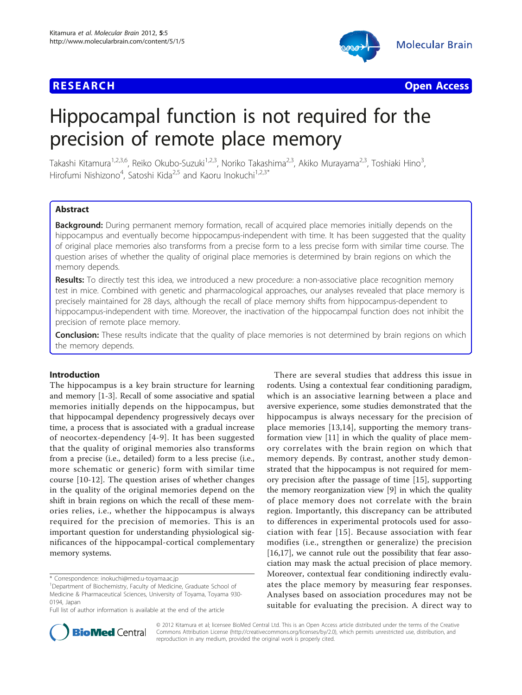



# Hippocampal function is not required for the precision of remote place memory

Takashi Kitamura<sup>1,2,3,6</sup>, Reiko Okubo-Suzuki<sup>1,2,3</sup>, Noriko Takashima<sup>2,3</sup>, Akiko Murayama<sup>2,3</sup>, Toshiaki Hino<sup>3</sup>, , Hirofumi Nishizono<sup>4</sup>, Satoshi Kida<sup>2,5</sup> and Kaoru Inokuchi<sup>1,2,3\*</sup>

# Abstract

Background: During permanent memory formation, recall of acquired place memories initially depends on the hippocampus and eventually become hippocampus-independent with time. It has been suggested that the quality of original place memories also transforms from a precise form to a less precise form with similar time course. The question arises of whether the quality of original place memories is determined by brain regions on which the memory depends.

Results: To directly test this idea, we introduced a new procedure: a non-associative place recognition memory test in mice. Combined with genetic and pharmacological approaches, our analyses revealed that place memory is precisely maintained for 28 days, although the recall of place memory shifts from hippocampus-dependent to hippocampus-independent with time. Moreover, the inactivation of the hippocampal function does not inhibit the precision of remote place memory.

**Conclusion:** These results indicate that the quality of place memories is not determined by brain regions on which the memory depends.

# Introduction

The hippocampus is a key brain structure for learning and memory [\[1-3](#page-6-0)]. Recall of some associative and spatial memories initially depends on the hippocampus, but that hippocampal dependency progressively decays over time, a process that is associated with a gradual increase of neocortex-dependency [[4](#page-6-0)-[9](#page-6-0)]. It has been suggested that the quality of original memories also transforms from a precise (i.e., detailed) form to a less precise (i.e., more schematic or generic) form with similar time course [[10-12](#page-6-0)]. The question arises of whether changes in the quality of the original memories depend on the shift in brain regions on which the recall of these memories relies, i.e., whether the hippocampus is always required for the precision of memories. This is an important question for understanding physiological significances of the hippocampal-cortical complementary memory systems.

There are several studies that address this issue in rodents. Using a contextual fear conditioning paradigm, which is an associative learning between a place and aversive experience, some studies demonstrated that the hippocampus is always necessary for the precision of place memories [[13](#page-6-0),[14\]](#page-6-0), supporting the memory transformation view [\[11](#page-6-0)] in which the quality of place memory correlates with the brain region on which that memory depends. By contrast, another study demonstrated that the hippocampus is not required for memory precision after the passage of time [\[15](#page-6-0)], supporting the memory reorganization view [[9\]](#page-6-0) in which the quality of place memory does not correlate with the brain region. Importantly, this discrepancy can be attributed to differences in experimental protocols used for association with fear [[15](#page-6-0)]. Because association with fear modifies (i.e., strengthen or generalize) the precision [[16,17\]](#page-6-0), we cannot rule out the possibility that fear association may mask the actual precision of place memory. Moreover, contextual fear conditioning indirectly evaluates the place memory by measuring fear responses. Analyses based on association procedures may not be suitable for evaluating the precision. A direct way to



© 2012 Kitamura et al; licensee BioMed Central Ltd. This is an Open Access article distributed under the terms of the Creative Commons Attribution License [\(http://creativecommons.org/licenses/by/2.0](http://creativecommons.org/licenses/by/2.0)), which permits unrestricted use, distribution, and reproduction in any medium, provided the original work is properly cited.

<sup>\*</sup> Correspondence: [inokuchi@med.u-toyama.ac.jp](mailto:inokuchi@med.u-toyama.ac.jp)

<sup>&</sup>lt;sup>1</sup>Department of Biochemistry, Faculty of Medicine, Graduate School of Medicine & Pharmaceutical Sciences, University of Toyama, Toyama 930- 0194, Japan

Full list of author information is available at the end of the article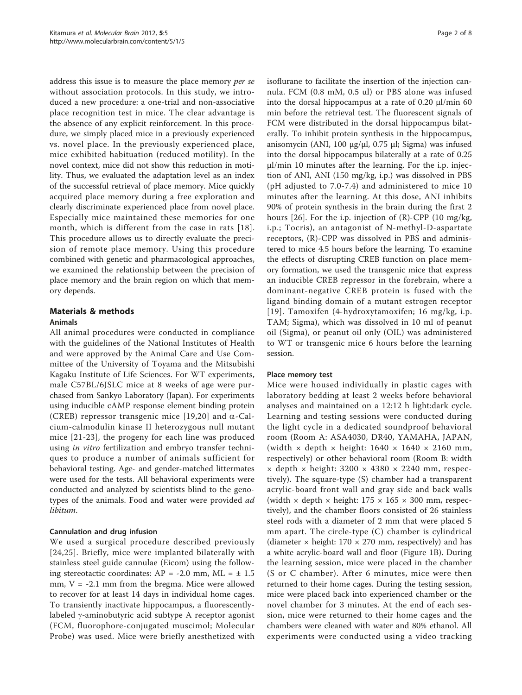address this issue is to measure the place memory *per se* without association protocols. In this study, we introduced a new procedure: a one-trial and non-associative place recognition test in mice. The clear advantage is the absence of any explicit reinforcement. In this procedure, we simply placed mice in a previously experienced vs. novel place. In the previously experienced place, mice exhibited habituation (reduced motility). In the novel context, mice did not show this reduction in motility. Thus, we evaluated the adaptation level as an index of the successful retrieval of place memory. Mice quickly acquired place memory during a free exploration and clearly discriminate experienced place from novel place. Especially mice maintained these memories for one month, which is different from the case in rats [[18\]](#page-6-0). This procedure allows us to directly evaluate the precision of remote place memory. Using this procedure combined with genetic and pharmacological approaches, we examined the relationship between the precision of place memory and the brain region on which that memory depends.

# Materials & methods

# Animals

All animal procedures were conducted in compliance with the guidelines of the National Institutes of Health and were approved by the Animal Care and Use Committee of the University of Toyama and the Mitsubishi Kagaku Institute of Life Sciences. For WT experiments, male C57BL/6JSLC mice at 8 weeks of age were purchased from Sankyo Laboratory (Japan). For experiments using inducible cAMP response element binding protein (CREB) repressor transgenic mice [\[19,20\]](#page-6-0) and  $\alpha$ -Calcium-calmodulin kinase II heterozygous null mutant mice [[21](#page-6-0)-[23](#page-6-0)], the progeny for each line was produced using *in vitro* fertilization and embryo transfer techniques to produce a number of animals sufficient for behavioral testing. Age- and gender-matched littermates were used for the tests. All behavioral experiments were conducted and analyzed by scientists blind to the genotypes of the animals. Food and water were provided ad libitum.

# Cannulation and drug infusion

We used a surgical procedure described previously [[24,25\]](#page-6-0). Briefly, mice were implanted bilaterally with stainless steel guide cannulae (Eicom) using the following stereotactic coordinates:  $AP = -2.0$  mm,  $ML = \pm 1.5$ mm, V = -2.1 mm from the bregma. Mice were allowed to recover for at least 14 days in individual home cages. To transiently inactivate hippocampus, a fluorescentlylabeled  $\gamma$ -aminobutyric acid subtype A receptor agonist (FCM, fluorophore-conjugated muscimol; Molecular Probe) was used. Mice were briefly anesthetized with isoflurane to facilitate the insertion of the injection cannula. FCM (0.8 mM, 0.5 ul) or PBS alone was infused into the dorsal hippocampus at a rate of 0.20  $\mu$ l/min 60 min before the retrieval test. The fluorescent signals of FCM were distributed in the dorsal hippocampus bilaterally. To inhibit protein synthesis in the hippocampus, anisomycin (ANI, 100 μg/μl, 0.75 μl; Sigma) was infused into the dorsal hippocampus bilaterally at a rate of 0.25 μl/min 10 minutes after the learning. For the i.p. injection of ANI, ANI (150 mg/kg, i.p.) was dissolved in PBS (pH adjusted to 7.0-7.4) and administered to mice 10 minutes after the learning. At this dose, ANI inhibits 90% of protein synthesis in the brain during the first 2 hours [[26](#page-6-0)]. For the i.p. injection of  $(R)$ -CPP (10 mg/kg, i.p.; Tocris), an antagonist of N-methyl-D-aspartate receptors, (R)-CPP was dissolved in PBS and administered to mice 4.5 hours before the learning. To examine the effects of disrupting CREB function on place memory formation, we used the transgenic mice that express an inducible CREB repressor in the forebrain, where a dominant-negative CREB protein is fused with the ligand binding domain of a mutant estrogen receptor [[19\]](#page-6-0). Tamoxifen (4-hydroxytamoxifen; 16 mg/kg, i.p. TAM; Sigma), which was dissolved in 10 ml of peanut oil (Sigma), or peanut oil only (OIL) was administered to WT or transgenic mice 6 hours before the learning session.

# Place memory test

Mice were housed individually in plastic cages with laboratory bedding at least 2 weeks before behavioral analyses and maintained on a 12:12 h light:dark cycle. Learning and testing sessions were conducted during the light cycle in a dedicated soundproof behavioral room (Room A: ASA4030, DR40, YAMAHA, JAPAN, (width  $\times$  depth  $\times$  height: 1640  $\times$  1640  $\times$  2160 mm, respectively) or other behavioral room (Room B: width  $\times$  depth  $\times$  height: 3200  $\times$  4380  $\times$  2240 mm, respectively). The square-type (S) chamber had a transparent acrylic-board front wall and gray side and back walls (width  $\times$  depth  $\times$  height: 175  $\times$  165  $\times$  300 mm, respectively), and the chamber floors consisted of 26 stainless steel rods with a diameter of 2 mm that were placed 5 mm apart. The circle-type (C) chamber is cylindrical (diameter  $\times$  height: 170  $\times$  270 mm, respectively) and has a white acrylic-board wall and floor (Figure [1B\)](#page-2-0). During the learning session, mice were placed in the chamber (S or C chamber). After 6 minutes, mice were then returned to their home cages. During the testing session, mice were placed back into experienced chamber or the novel chamber for 3 minutes. At the end of each session, mice were returned to their home cages and the chambers were cleaned with water and 80% ethanol. All experiments were conducted using a video tracking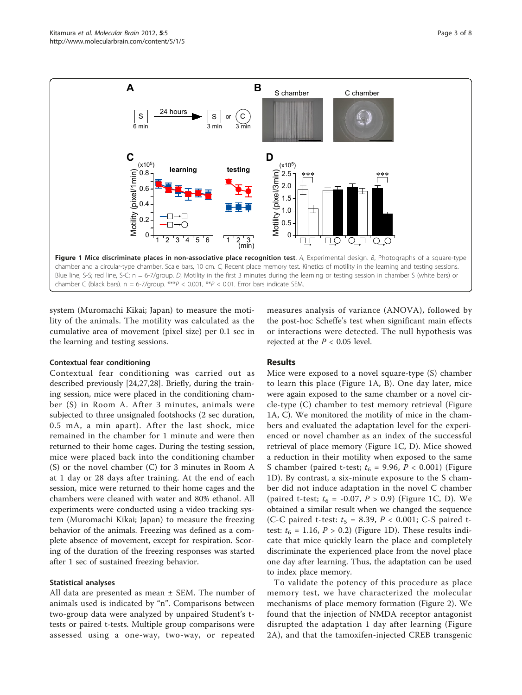<span id="page-2-0"></span>

system (Muromachi Kikai; Japan) to measure the motility of the animals. The motility was calculated as the cumulative area of movement (pixel size) per 0.1 sec in the learning and testing sessions.

#### Contextual fear conditioning

Contextual fear conditioning was carried out as described previously [[24,27,](#page-6-0)[28\]](#page-7-0). Briefly, during the training session, mice were placed in the conditioning chamber (S) in Room A. After 3 minutes, animals were subjected to three unsignaled footshocks (2 sec duration, 0.5 mA, a min apart). After the last shock, mice remained in the chamber for 1 minute and were then returned to their home cages. During the testing session, mice were placed back into the conditioning chamber (S) or the novel chamber (C) for 3 minutes in Room A at 1 day or 28 days after training. At the end of each session, mice were returned to their home cages and the chambers were cleaned with water and 80% ethanol. All experiments were conducted using a video tracking system (Muromachi Kikai; Japan) to measure the freezing behavior of the animals. Freezing was defined as a complete absence of movement, except for respiration. Scoring of the duration of the freezing responses was started after 1 sec of sustained freezing behavior.

#### Statistical analyses

All data are presented as mean ± SEM. The number of animals used is indicated by "n". Comparisons between two-group data were analyzed by unpaired Student's ttests or paired t-tests. Multiple group comparisons were assessed using a one-way, two-way, or repeated

measures analysis of variance (ANOVA), followed by the post-hoc Scheffe's test when significant main effects or interactions were detected. The null hypothesis was rejected at the  $P < 0.05$  level.

## Results

Mice were exposed to a novel square-type (S) chamber to learn this place (Figure 1A, B). One day later, mice were again exposed to the same chamber or a novel circle-type (C) chamber to test memory retrieval (Figure 1A, C). We monitored the motility of mice in the chambers and evaluated the adaptation level for the experienced or novel chamber as an index of the successful retrieval of place memory (Figure 1C, D). Mice showed a reduction in their motility when exposed to the same S chamber (paired t-test;  $t_6 = 9.96$ ,  $P < 0.001$ ) (Figure 1D). By contrast, a six-minute exposure to the S chamber did not induce adaptation in the novel C chamber (paired t-test;  $t_6 = -0.07$ ,  $P > 0.9$ ) (Figure 1C, D). We obtained a similar result when we changed the sequence (C-C paired t-test:  $t_5 = 8.39$ ,  $P < 0.001$ ; C-S paired ttest:  $t_6 = 1.16$ ,  $P > 0.2$ ) (Figure 1D). These results indicate that mice quickly learn the place and completely discriminate the experienced place from the novel place one day after learning. Thus, the adaptation can be used to index place memory.

To validate the potency of this procedure as place memory test, we have characterized the molecular mechanisms of place memory formation (Figure [2](#page-3-0)). We found that the injection of NMDA receptor antagonist disrupted the adaptation 1 day after learning (Figure [2A\)](#page-3-0), and that the tamoxifen-injected CREB transgenic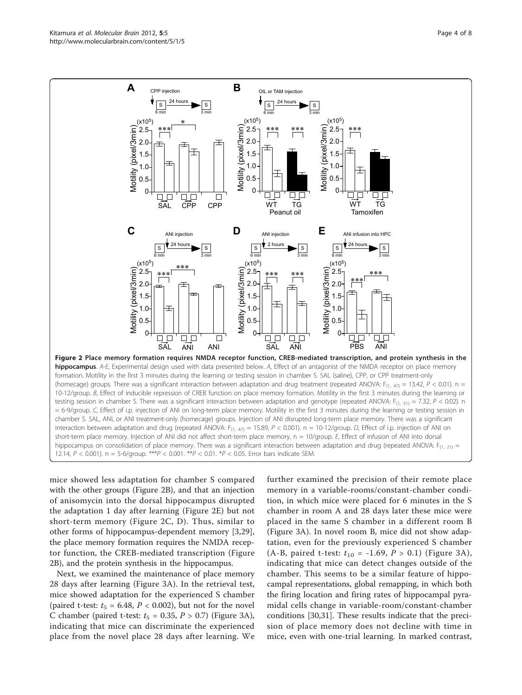<span id="page-3-0"></span>

mice showed less adaptation for chamber S compared with the other groups (Figure 2B), and that an injection of anisomycin into the dorsal hippocampus disrupted the adaptation 1 day after learning (Figure 2E) but not short-term memory (Figure 2C, D). Thus, similar to other forms of hippocampus-dependent memory [[3,](#page-6-0)[29](#page-7-0)], the place memory formation requires the NMDA receptor function, the CREB-mediated transcription (Figure 2B), and the protein synthesis in the hippocampus.

Next, we examined the maintenance of place memory 28 days after learning (Figure [3A](#page-4-0)). In the retrieval test, mice showed adaptation for the experienced S chamber (paired t-test:  $t_5 = 6.48$ ,  $P < 0.002$ ), but not for the novel C chamber (paired t-test:  $t_5 = 0.35$ ,  $P > 0.7$ ) (Figure [3A](#page-4-0)), indicating that mice can discriminate the experienced place from the novel place 28 days after learning. We

further examined the precision of their remote place memory in a variable-rooms/constant-chamber condition, in which mice were placed for 6 minutes in the S chamber in room A and 28 days later these mice were placed in the same S chamber in a different room B (Figure [3A\)](#page-4-0). In novel room B, mice did not show adaptation, even for the previously experienced S chamber (A-B, paired t-test:  $t_{10} = -1.69$ ,  $P > 0.1$ ) (Figure [3A\)](#page-4-0), indicating that mice can detect changes outside of the chamber. This seems to be a similar feature of hippocampal representations, global remapping, in which both the firing location and firing rates of hippocampal pyramidal cells change in variable-room/constant-chamber conditions [\[30,31](#page-7-0)]. These results indicate that the precision of place memory does not decline with time in mice, even with one-trial learning. In marked contrast,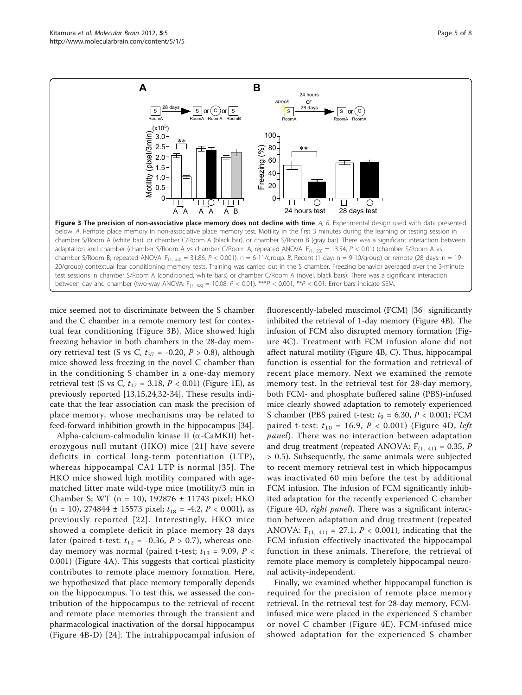<span id="page-4-0"></span>

mice seemed not to discriminate between the S chamber and the C chamber in a remote memory test for contextual fear conditioning (Figure 3B). Mice showed high freezing behavior in both chambers in the 28-day memory retrieval test (S vs C,  $t_{37}$  = -0.20,  $P > 0.8$ ), although mice showed less freezing in the novel C chamber than in the conditioning S chamber in a one-day memory retrieval test (S vs C,  $t_{17} = 3.18$ ,  $P < 0.01$ ) (Figure [1E\)](#page-2-0), as previously reported [[13,15,24](#page-6-0)[,32](#page-7-0)-[34\]](#page-7-0). These results indicate that the fear association can mask the precision of place memory, whose mechanisms may be related to feed-forward inhibition growth in the hippocampus [[34](#page-7-0)].

Alpha-calcium-calmodulin kinase II ( $\alpha$ -CaMKII) heterozygous null mutant (HKO) mice [[21\]](#page-6-0) have severe deficits in cortical long-term potentiation (LTP), whereas hippocampal CA1 LTP is normal [[35\]](#page-7-0). The HKO mice showed high motility compared with agematched litter mate wild-type mice (motility/3 min in Chamber S; WT (n = 10), 192876 ± 11743 pixel; HKO  $(n = 10)$ , 274844 ± 15573 pixel;  $t_{18} = -4.2$ ,  $P < 0.001$ ), as previously reported [[22\]](#page-6-0). Interestingly, HKO mice showed a complete deficit in place memory 28 days later (paired t-test:  $t_{12}$  = -0.36,  $P > 0.7$ ), whereas oneday memory was normal (paired t-test;  $t_{13} = 9.09$ ,  $P <$ 0.001) (Figure [4A\)](#page-5-0). This suggests that cortical plasticity contributes to remote place memory formation. Here, we hypothesized that place memory temporally depends on the hippocampus. To test this, we assessed the contribution of the hippocampus to the retrieval of recent and remote place memories through the transient and pharmacological inactivation of the dorsal hippocampus (Figure [4B-D](#page-5-0)) [[24](#page-6-0)]. The intrahippocampal infusion of

fluorescently-labeled muscimol (FCM) [\[36](#page-7-0)] significantly inhibited the retrieval of 1-day memory (Figure [4B\)](#page-5-0). The infusion of FCM also disrupted memory formation (Figure [4C\)](#page-5-0). Treatment with FCM infusion alone did not affect natural motility (Figure [4B, C\)](#page-5-0). Thus, hippocampal function is essential for the formation and retrieval of recent place memory. Next we examined the remote memory test. In the retrieval test for 28-day memory, both FCM- and phosphate buffered saline (PBS)-infused mice clearly showed adaptation to remotely experienced S chamber (PBS paired t-test:  $t_9 = 6.30$ ,  $P < 0.001$ ; FCM paired t-test:  $t_{10} = 16.9, P < 0.001$ ) (Figure [4D](#page-5-0), left panel). There was no interaction between adaptation and drug treatment (repeated ANOVA:  $F_{(1, 41)} = 0.35$ , P > 0.5). Subsequently, the same animals were subjected to recent memory retrieval test in which hippocampus was inactivated 60 min before the test by additional FCM infusion. The infusion of FCM significantly inhibited adaptation for the recently experienced C chamber (Figure [4D](#page-5-0), right panel). There was a significant interaction between adaptation and drug treatment (repeated ANOVA:  $F_{(1, 41)} = 27.1$ ,  $P < 0.001$ ), indicating that the FCM infusion effectively inactivated the hippocampal function in these animals. Therefore, the retrieval of remote place memory is completely hippocampal neuronal activity-independent.

Finally, we examined whether hippocampal function is required for the precision of remote place memory retrieval. In the retrieval test for 28-day memory, FCMinfused mice were placed in the experienced S chamber or novel C chamber (Figure [4E\)](#page-5-0). FCM-infused mice showed adaptation for the experienced S chamber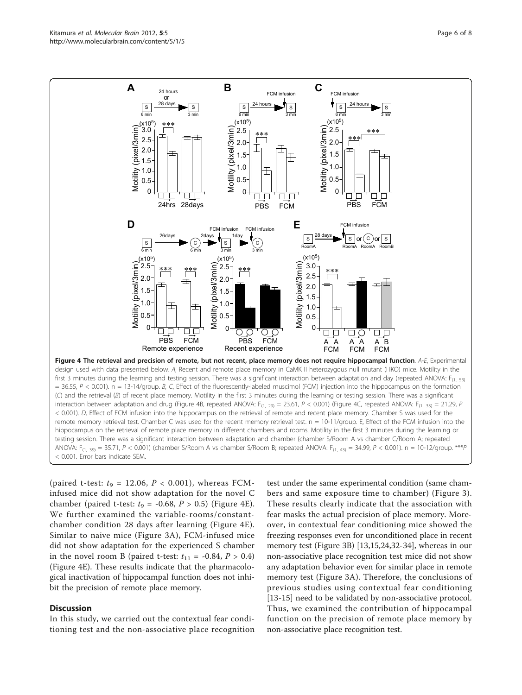<span id="page-5-0"></span>

(C) and the retrieval (B) of recent place memory. Motility in the first 3 minutes during the learning or testing session. There was a significant interaction between adaptation and drug (Figure 4B, repeated ANOVA: F<sub>(1, 29)</sub> = 23.61, P < 0.001) (Figure 4C, repeated ANOVA: F<sub>(1, 33)</sub> = 21.29, P < 0.001). D, Effect of FCM infusion into the hippocampus on the retrieval of remote and recent place memory. Chamber S was used for the remote memory retrieval test. Chamber C was used for the recent memory retrieval test.  $n = 10-11/q$ roup. E, Effect of the FCM infusion into the hippocampus on the retrieval of remote place memory in different chambers and rooms. Motility in the first 3 minutes during the learning or testing session. There was a significant interaction between adaptation and chamber (chamber S/Room A vs chamber C/Room A; repeated ANOVA:  $F_{(1, 39)} = 35.71$ ,  $P < 0.001$ ) (chamber S/Room A vs chamber S/Room B; repeated ANOVA:  $F_{(1, 43)} = 34.99$ ,  $P < 0.001$ ). n = 10-12/group. \*\*\*P < 0.001. Error bars indicate SEM.

(paired t-test:  $t_9 = 12.06$ ,  $P < 0.001$ ), whereas FCMinfused mice did not show adaptation for the novel C chamber (paired t-test:  $t_9 = -0.68$ ,  $P > 0.5$ ) (Figure 4E). We further examined the variable-rooms/constantchamber condition 28 days after learning (Figure 4E). Similar to naive mice (Figure [3A](#page-4-0)), FCM-infused mice did not show adaptation for the experienced S chamber in the novel room B (paired t-test:  $t_{11} = -0.84$ ,  $P > 0.4$ ) (Figure 4E). These results indicate that the pharmacological inactivation of hippocampal function does not inhibit the precision of remote place memory.

#### **Discussion**

In this study, we carried out the contextual fear conditioning test and the non-associative place recognition test under the same experimental condition (same chambers and same exposure time to chamber) (Figure [3\)](#page-4-0). These results clearly indicate that the association with fear masks the actual precision of place memory. Moreover, in contextual fear conditioning mice showed the freezing responses even for unconditioned place in recent memory test (Figure [3B](#page-4-0)) [[13](#page-6-0),[15](#page-6-0),[24](#page-6-0),[32](#page-7-0)-[34\]](#page-7-0), whereas in our non-associative place recognition test mice did not show any adaptation behavior even for similar place in remote memory test (Figure [3A\)](#page-4-0). Therefore, the conclusions of previous studies using contextual fear conditioning [[13-15](#page-6-0)] need to be validated by non-associative protocol. Thus, we examined the contribution of hippocampal function on the precision of remote place memory by non-associative place recognition test.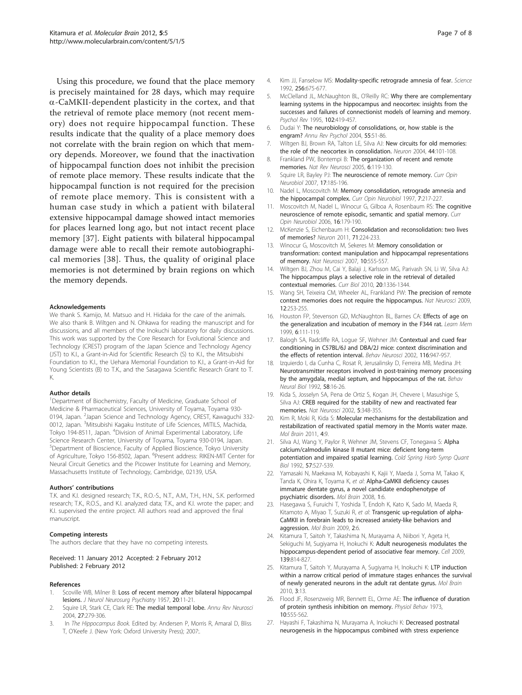<span id="page-6-0"></span>Using this procedure, we found that the place memory is precisely maintained for 28 days, which may require  $\alpha$ -CaMKII-dependent plasticity in the cortex, and that the retrieval of remote place memory (not recent memory) does not require hippocampal function. These results indicate that the quality of a place memory does not correlate with the brain region on which that memory depends. Moreover, we found that the inactivation of hippocampal function does not inhibit the precision of remote place memory. These results indicate that the hippocampal function is not required for the precision of remote place memory. This is consistent with a human case study in which a patient with bilateral extensive hippocampal damage showed intact memories for places learned long ago, but not intact recent place memory [[37\]](#page-7-0). Eight patients with bilateral hippocampal damage were able to recall their remote autobiographical memories [[38](#page-7-0)]. Thus, the quality of original place memories is not determined by brain regions on which the memory depends.

#### Acknowledgements

We thank S. Kamijo, M. Matsuo and H. Hidaka for the care of the animals. We also thank B. Wiltgen and N. Ohkawa for reading the manuscript and for discussions, and all members of the Inokuchi laboratory for daily discussions. This work was supported by the Core Research for Evolutional Science and Technology (CREST) program of the Japan Science and Technology Agency (JST) to K.I., a Grant-in-Aid for Scientific Research (S) to K.I., the Mitsubishi Foundation to K.I., the Uehara Memorial Foundation to K.I., a Grant-in-Aid for Young Scientists (B) to T.K., and the Sasagawa Scientific Research Grant to T. K.

#### Author details

<sup>1</sup>Department of Biochemistry, Faculty of Medicine, Graduate School of Medicine & Pharmaceutical Sciences, University of Toyama, Toyama 930- 0194, Japan. <sup>2</sup>Japan Science and Technology Agency, CREST, Kawaguchi 332-0012, Japan. <sup>3</sup>Mitsubishi Kagaku Institute of Life Sciences, MITILS, Machida, Tokyo 194-8511, Japan. <sup>4</sup>Division of Animal Experimental Laboratory, Life Science Research Center, University of Toyama, Toyama 930-0194, Japan. 5 Department of Bioscience, Faculty of Applied Bioscience, Tokyo University of Agriculture, Tokyo 156-8502, Japan. <sup>6</sup>Present address: RIKEN-MIT Center for Neural Circuit Genetics and the Picower Institute for Learning and Memory, Massachusetts Institute of Technology, Cambridge, 02139, USA.

#### Authors' contributions

T.K. and K.I. designed research; T.K., R.O.-S., N.T., A.M., T.H., H.N., S.K. performed research; T.K., R.O.S., and K.I. analyzed data; T.K., and K.I. wrote the paper; and K.I. supervised the entire project. All authors read and approved the final manuscript.

#### Competing interests

The authors declare that they have no competing interests.

#### Received: 11 January 2012 Accepted: 2 February 2012 Published: 2 February 2012

#### References

- Scoville WB, Milner B: Loss of recent memory after bilateral hippocampal lesions. J Neurol Neurosurg Psychiatry 1957, 20:11-21.
- 2. Squire LR, Stark CE, Clark RE: The medial temporal lobe. Annu Rev Neurosci 2004, 27:279-306.
- 3. In The Hippocampus Book. Edited by: Andersen P, Morris R, Amaral D, Bliss T, O'Keefe J. (New York: Oxford University Press); 2007:.
- 5. McClelland JL, McNaughton BL, O'Reilly RC: Why there are complementary learning systems in the hippocampus and neocortex: insights from the successes and failures of connectionist models of learning and memory. Psychol Rev 1995, 102:419-457.
- 6. Dudai Y: The neurobiology of consolidations, or, how stable is the engram? Annu Rev Psychol 2004, 55:51-86.
- 7. Wiltgen BJ, Brown RA, Talton LE, Silva AJ: New circuits for old memories: the role of the neocortex in consolidation. Neuron 2004, 44:101-108.
- 8. Frankland PW, Bontempi B: The organization of recent and remote memories. Nat Rev Neurosci 2005, 6:119-130.
- 9. Squire LR, Bayley PJ: The neuroscience of remote memory. Curr Opin Neurobiol 2007, 17:185-196.
- 10. Nadel L, Moscovitch M: Memory consolidation, retrograde amnesia and the hippocampal complex. Curr Opin Neurobiol 1997, 7:217-227
- 11. Moscovitch M, Nadel L, Winocur G, Gilboa A, Rosenbaum RS: The cognitive neuroscience of remote episodic, semantic and spatial memory. Curr Opin Neurobiol 2006, 16:179-190.
- 12. McKenzie S, Eichenbaum H: Consolidation and reconsolidation: two lives of memories? Neuron 2011, 71:224-233.
- 13. Winocur G, Moscovitch M, Sekeres M: Memory consolidation or transformation: context manipulation and hippocampal representations of memory. Nat Neurosci 2007, 10:555-557.
- 14. Wiltgen BJ, Zhou M, Cai Y, Balaji J, Karlsson MG, Parivash SN, Li W, Silva AJ: The hippocampus plays a selective role in the retrieval of detailed contextual memories. Curr Biol 2010, 20:1336-1344.
- 15. Wang SH, Teixeira CM, Wheeler AL, Frankland PW: The precision of remote context memories does not require the hippocampus. Nat Neurosci 2009, 12:253-255.
- 16. Houston FP, Stevenson GD, McNaughton BL, Barnes CA: Effects of age on the generalization and incubation of memory in the F344 rat. Learn Mem 1999, 6:111-119.
- 17. Balogh SA, Radcliffe RA, Logue SF, Wehner JM: Contextual and cued fear conditioning in C57BL/6J and DBA/2J mice: context discrimination and the effects of retention interval. Behav Neurosci 2002, 116:947-957.
- 18. Izquierdo I, da Cunha C, Rosat R, Jerusalinsky D, Ferreira MB, Medina JH: Neurotransmitter receptors involved in post-training memory processing by the amygdala, medial septum, and hippocampus of the rat. Behav Neural Biol 1992, 58:16-26.
- 19. Kida S, Josselyn SA, Pena de Ortiz S, Kogan JH, Chevere I, Masushige S, Silva AJ: CREB required for the stability of new and reactivated fear memories. Nat Neurosci 2002, 5:348-355.
- 20. Kim R, Moki R, Kida S: Molecular mechanisms for the destabilization and restabilization of reactivated spatial memory in the Morris water maze. Mol Brain 2011, 4:9.
- 21. Silva AJ, Wang Y, Paylor R, Wehner JM, Stevens CF, Tonegawa S: Alpha calcium/calmodulin kinase II mutant mice: deficient long-term potentiation and impaired spatial learning. Cold Spring Harb Symp Quant Biol 1992, 57:527-539.
- 22. Yamasaki N, Maekawa M, Kobayashi K, Kajii Y, Maeda J, Soma M, Takao K, Tanda K, Ohira K, Toyama K, et al: Alpha-CaMKII deficiency causes immature dentate gyrus, a novel candidate endophenotype of psychiatric disorders. Mol Brain 2008, 1:6.
- 23. Hasegawa S, Furuichi T, Yoshida T, Endoh K, Kato K, Sado M, Maeda R, Kitamoto A, Miyao T, Suzuki R, et al: Transgenic up-regulation of alpha-CaMKII in forebrain leads to increased anxiety-like behaviors and aggression. Mol Brain 2009, 2:6.
- 24. Kitamura T, Saitoh Y, Takashima N, Murayama A, Niibori Y, Ageta H, Sekiguchi M, Sugiyama H, Inokuchi K: Adult neurogenesis modulates the hippocampus-dependent period of associative fear memory. Cell 2009, 139:814-827.
- 25. Kitamura T, Saitoh Y, Murayama A, Sugiyama H, Inokuchi K: LTP induction within a narrow critical period of immature stages enhances the survival of newly generated neurons in the adult rat dentate gyrus. Mol Brain 2010, 3:13.
- 26. Flood JF, Rosenzweig MR, Bennett EL, Orme AE: The influence of duration of protein synthesis inhibition on memory. Physiol Behav 1973, 10:555-562.
- 27. Hayashi F, Takashima N, Murayama A, Inokuchi K: Decreased postnatal neurogenesis in the hippocampus combined with stress experience